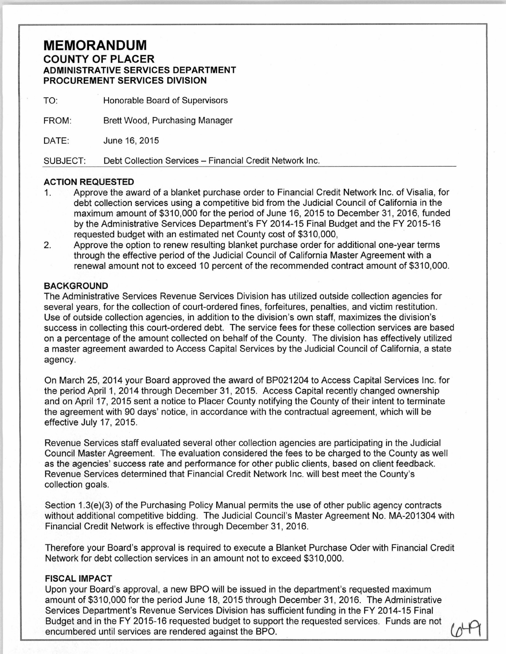## **MEMORANDUM COUNTY OF PLACER ADMINISTRATIVE SERVICES DEPARTMENT PROCUREMENT SERVICES DIVISION**

TO: Honorable Board of Supervisors

FROM: Brett Wood, Purchasing Manager

DATE: June 16, 2015

SUBJECT: Debt Collection Services- Financial Credit Network Inc.

## **ACTION REQUESTED**

- 1. Approve the award of a blanket purchase order to Financial Credit Network Inc. of Visalia, for debt collection services using a competitive bid from the Judicial Council of California in the maximum amount of \$310,000 for the period of June 16, 2015 to December 31 , 2016, funded by the Administrative Services Department's FY 2014-15 Final Budget and the FY 2015-16 requested budget with an estimated net County cost of \$310,000,
- 2. Approve the option to renew resulting blanket purchase order for additional one-year terms through the effective period of the Judicial Council of California Master Agreement with a renewal amount not to exceed 10 percent of the recommended contract amount of \$310,000.

## **BACKGROUND**

The Administrative Services Revenue Services Division has utilized outside collection agencies for several years, for the collection of court-ordered fines, forfeitures, penalties, and victim restitution. Use of outside collection agencies, in addition to the division's own staff, maximizes the division's success in collecting this court-ordered debt. The service fees for these collection services are based on a percentage of the amount collected on behalf of the County. The division has effectively utilized a master agreement awarded to Access Capital Services by the Judicial Council of California, a state agency.

On March 25, 2014 your Board approved the award of BP021204 to Access Capital Services Inc. for the period April 1, 2014 through December 31, 2015. Access Capital recently changed ownership and on April 17, 2015 sent a notice to Placer County notifying the County of their intent to terminate the agreement with 90 days' notice, in accordance with the contractual agreement, which will be effective July 17, 2015.

Revenue Services staff evaluated several other collection agencies are participating in the Judicial Council Master Agreement. The evaluation considered the fees to be charged to the County as well as the agencies' success rate and performance for other public clients, based on client feedback. Revenue Services determined that Financial Credit Network Inc. will best meet the County's collection goals.

Section 1.3(e)(3) of the Purchasing Policy Manual permits the use of other public agency contracts without additional competitive bidding. The Judicial Council's Master Agreement No. MA-201304 with Financial Credit Network is effective through December 31, 2016.

Therefore your Board's approval is required to execute a Blanket Purchase Oder with Financial Credit Network for debt collection services in an amount not to exceed \$310,000.

## **FISCAL IMPACT**

Upon your Board's approval, a new BPO will be issued in the department's requested maximum amount of \$310,000 for the period June 18, 2015 through December 31, 2016. The Administrative Services Department's Revenue Services Division has sufficient funding in the FY 2014-15 Final Budget and in the FY 2015-16 requested budget to support the requested services. Funds are not encumbered until services are rendered against the BPO.